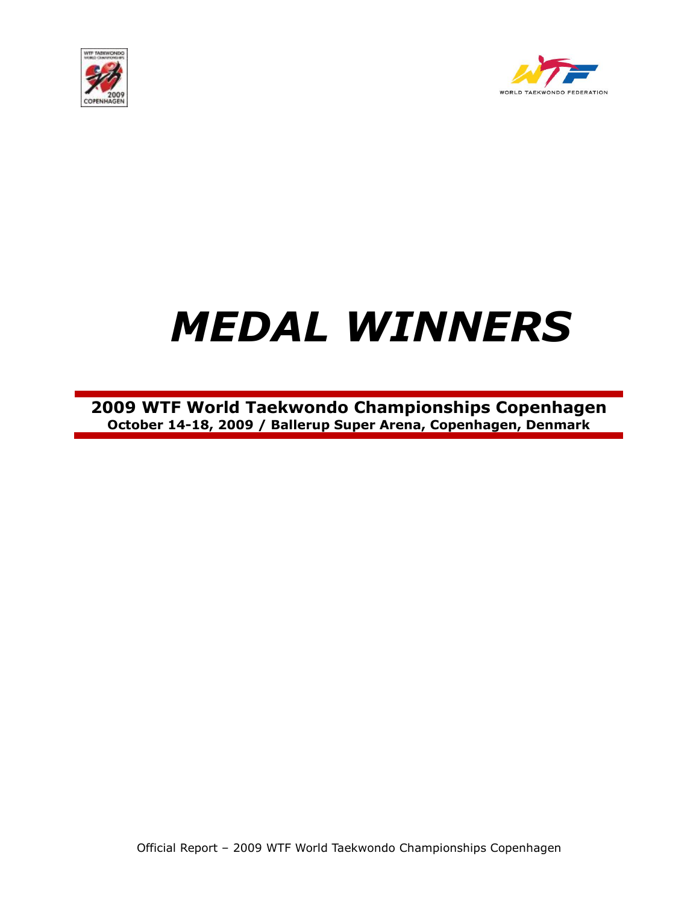



## *MEDAL WINNERS*

**2009 WTF World Taekwondo Championships Copenhagen October 14-18, 2009 / Ballerup Super Arena, Copenhagen, Denmark**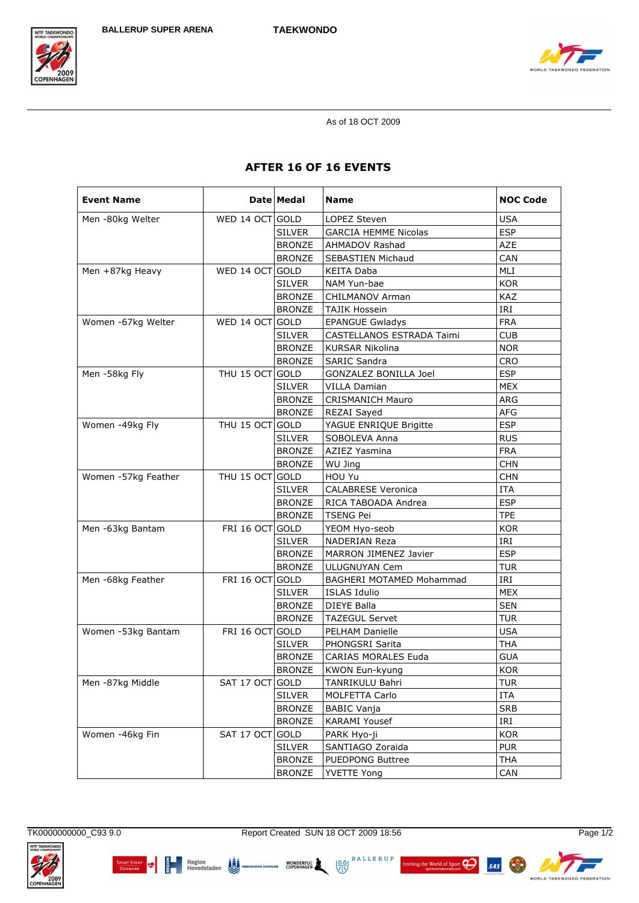



As of 18 OCT 2009

## **AFTER 16 OF 16 EVENTS**

| <b>Event Name</b>   |                 | Date Medal    | <b>Name</b>                 | <b>NOC Code</b> |
|---------------------|-----------------|---------------|-----------------------------|-----------------|
| Men -80kg Welter    | WED 14 OCT GOLD |               | LOPEZ Steven                | <b>USA</b>      |
|                     |                 | <b>SILVER</b> | <b>GARCIA HEMME Nicolas</b> | <b>ESP</b>      |
|                     |                 | <b>BRONZE</b> | AHMADOV Rashad              | AZE             |
|                     |                 | <b>BRONZE</b> | SEBASTIEN Michaud           | CAN             |
| Men +87kg Heavy     | WED 14 OCT GOLD |               | KEITA Daba                  | MLI             |
|                     |                 | <b>SILVER</b> | NAM Yun-bae                 | <b>KOR</b>      |
|                     |                 | <b>BRONZE</b> | CHILMANOV Arman             | <b>KAZ</b>      |
|                     |                 | <b>BRONZE</b> | <b>TAJIK Hossein</b>        | IRI             |
| Women -67kg Welter  | WED 14 OCT GOLD |               | <b>EPANGUE Gwladys</b>      | <b>FRA</b>      |
|                     |                 | <b>SILVER</b> | CASTELLANOS ESTRADA Taimi   | <b>CUB</b>      |
|                     |                 | <b>BRONZE</b> | <b>KURSAR Nikolina</b>      | <b>NOR</b>      |
|                     |                 | <b>BRONZE</b> | <b>SARIC Sandra</b>         | <b>CRO</b>      |
| Men -58kg Fly       | THU 15 OCT GOLD |               | GONZALEZ BONILLA Joel       | <b>ESP</b>      |
|                     |                 | <b>SILVER</b> | VILLA Damian                | <b>MEX</b>      |
|                     |                 | <b>BRONZE</b> | <b>CRISMANICH Mauro</b>     | ARG             |
|                     |                 | <b>BRONZE</b> | REZAI Sayed                 | <b>AFG</b>      |
| Women -49kg Fly     | THU 15 OCT GOLD |               | YAGUE ENRIQUE Brigitte      | <b>ESP</b>      |
|                     |                 | <b>SILVER</b> | SOBOLEVA Anna               | <b>RUS</b>      |
|                     |                 | <b>BRONZE</b> | <b>AZIEZ Yasmina</b>        | <b>FRA</b>      |
|                     |                 | <b>BRONZE</b> | WU Jing                     | <b>CHN</b>      |
| Women -57kg Feather | THU 15 OCT GOLD |               | HOU Yu                      | <b>CHN</b>      |
|                     |                 | <b>SILVER</b> | <b>CALABRESE Veronica</b>   | <b>ITA</b>      |
|                     |                 | <b>BRONZE</b> | RICA TABOADA Andrea         | <b>ESP</b>      |
|                     |                 | <b>BRONZE</b> | <b>TSENG Pei</b>            | <b>TPE</b>      |
| Men -63kg Bantam    | FRI 16 OCT GOLD |               | YEOM Hyo-seob               | <b>KOR</b>      |
|                     |                 | <b>SILVER</b> | NADERIAN Reza               | IRI             |
|                     |                 | <b>BRONZE</b> | MARRON JIMENEZ Javier       | <b>ESP</b>      |
|                     |                 | <b>BRONZE</b> | ULUGNUYAN Cem               | <b>TUR</b>      |
| Men -68kg Feather   | FRI 16 OCT GOLD |               | BAGHERI MOTAMED Mohammad    | IRI             |
|                     |                 | <b>SILVER</b> | <b>ISLAS Idulio</b>         | <b>MEX</b>      |
|                     |                 | <b>BRONZE</b> | <b>DIEYE Balla</b>          | <b>SEN</b>      |
|                     |                 | <b>BRONZE</b> | <b>TAZEGUL Servet</b>       | <b>TUR</b>      |
| Women -53kg Bantam  | FRI 16 OCT GOLD |               | PELHAM Danielle             | <b>USA</b>      |
|                     |                 | <b>SILVER</b> | <b>PHONGSRI Sarita</b>      | <b>THA</b>      |
|                     |                 | <b>BRONZE</b> | CARIAS MORALES Euda         | <b>GUA</b>      |
|                     |                 | <b>BRONZE</b> | KWON Eun-kyung              | KOR             |
| Men -87kg Middle    | SAT 17 OCT GOLD |               | TANRIKULU Bahri             | <b>TUR</b>      |
|                     |                 | <b>SILVER</b> | MOLFETTA Carlo              | ITA             |
|                     |                 | <b>BRONZE</b> | <b>BABIC Vanja</b>          | <b>SRB</b>      |
|                     |                 | <b>BRONZE</b> | <b>KARAMI Yousef</b>        | IRI             |
| Women -46kg Fin     | SAT 17 OCT      | GOLD          | PARK Hyo-ji                 | <b>KOR</b>      |
|                     |                 | SILVER        | SANTIAGO Zoraida            | <b>PUR</b>      |
|                     |                 | <b>BRONZE</b> | PUEDPONG Buttree            | <b>THA</b>      |
|                     |                 | <b>BRONZE</b> | <b>YVETTE Yong</b>          | CAN             |

TK0000000000\_C93 9.0

**TF TAEKWON** 

Report Created SUN 18 OCT 2009 18:56







Page 1/2